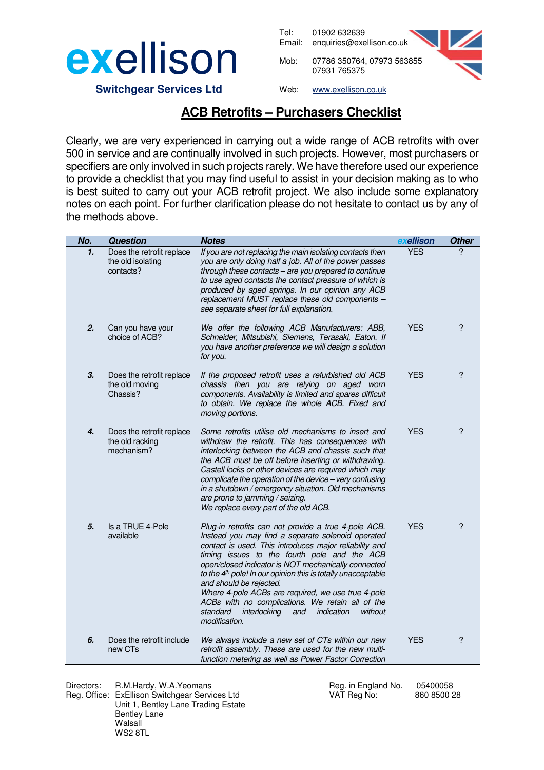

Tel: 01902 632639 Email: enquiries@exellison.co.uk Mob: 07786 350764, 07973 563855 07931 765375



 **Switchgear Services Ltd**

Web: www.exellison.co.uk

## **ACB Retrofits – Purchasers Checklist**

Clearly, we are very experienced in carrying out a wide range of ACB retrofits with over 500 in service and are continually involved in such projects. However, most purchasers or specifiers are only involved in such projects rarely. We have therefore used our experience to provide a checklist that you may find useful to assist in your decision making as to who is best suited to carry out your ACB retrofit project. We also include some explanatory notes on each point. For further clarification please do not hesitate to contact us by any of the methods above.

| No.          | <b>Question</b>                                             | <b>Notes</b>                                                                                                                                                                                                                                                                                                                                                                                                                                                                                                                                                             | exellison  | <b>Other</b> |
|--------------|-------------------------------------------------------------|--------------------------------------------------------------------------------------------------------------------------------------------------------------------------------------------------------------------------------------------------------------------------------------------------------------------------------------------------------------------------------------------------------------------------------------------------------------------------------------------------------------------------------------------------------------------------|------------|--------------|
| $\mathbf{1}$ | Does the retrofit replace<br>the old isolating<br>contacts? | If you are not replacing the main isolating contacts then<br>you are only doing half a job. All of the power passes<br>through these contacts - are you prepared to continue<br>to use aged contacts the contact pressure of which is<br>produced by aged springs. In our opinion any ACB<br>replacement MUST replace these old components -<br>see separate sheet for full explanation.                                                                                                                                                                                 | <b>YES</b> | 2            |
| 2.           | Can you have your<br>choice of ACB?                         | We offer the following ACB Manufacturers: ABB,<br>Schneider, Mitsubishi, Siemens, Terasaki, Eaton. If<br>you have another preference we will design a solution<br>for you.                                                                                                                                                                                                                                                                                                                                                                                               | <b>YES</b> | ?            |
| 3.           | Does the retrofit replace<br>the old moving<br>Chassis?     | If the proposed retrofit uses a refurbished old ACB<br>chassis then you are relying on aged worn<br>components. Availability is limited and spares difficult<br>to obtain. We replace the whole ACB. Fixed and<br>moving portions.                                                                                                                                                                                                                                                                                                                                       | <b>YES</b> | ?            |
| 4.           | Does the retrofit replace<br>the old racking<br>mechanism?  | Some retrofits utilise old mechanisms to insert and<br>withdraw the retrofit. This has consequences with<br>interlocking between the ACB and chassis such that<br>the ACB must be off before inserting or withdrawing.<br>Castell locks or other devices are required which may<br>complicate the operation of the device - very confusing<br>in a shutdown / emergency situation. Old mechanisms<br>are prone to jamming / seizing.<br>We replace every part of the old ACB.                                                                                            | <b>YES</b> | ?            |
| 5.           | Is a TRUE 4-Pole<br>available                               | Plug-in retrofits can not provide a true 4-pole ACB.<br>Instead you may find a separate solenoid operated<br>contact is used. This introduces major reliability and<br>timing issues to the fourth pole and the ACB<br>open/closed indicator is NOT mechanically connected<br>to the 4 <sup>th</sup> pole! In our opinion this is totally unacceptable<br>and should be rejected.<br>Where 4-pole ACBs are required, we use true 4-pole<br>ACBs with no complications. We retain all of the<br>standard<br>interlocking<br>indication<br>without<br>and<br>modification. | <b>YES</b> | ?            |
| 6.           | Does the retrofit include<br>new CTs                        | We always include a new set of CTs within our new<br>retrofit assembly. These are used for the new multi-<br>function metering as well as Power Factor Correction                                                                                                                                                                                                                                                                                                                                                                                                        | <b>YES</b> | ?            |

Directors: R.M.Hardy, W.A.Yeomans Reg. in England No. 05400058 Reg. Office: ExEllison Switchgear Services Ltd VAT Reg No: 860 8500 28 Unit 1, Bentley Lane Trading Estate Bentley Lane Walsall WS2 8TL